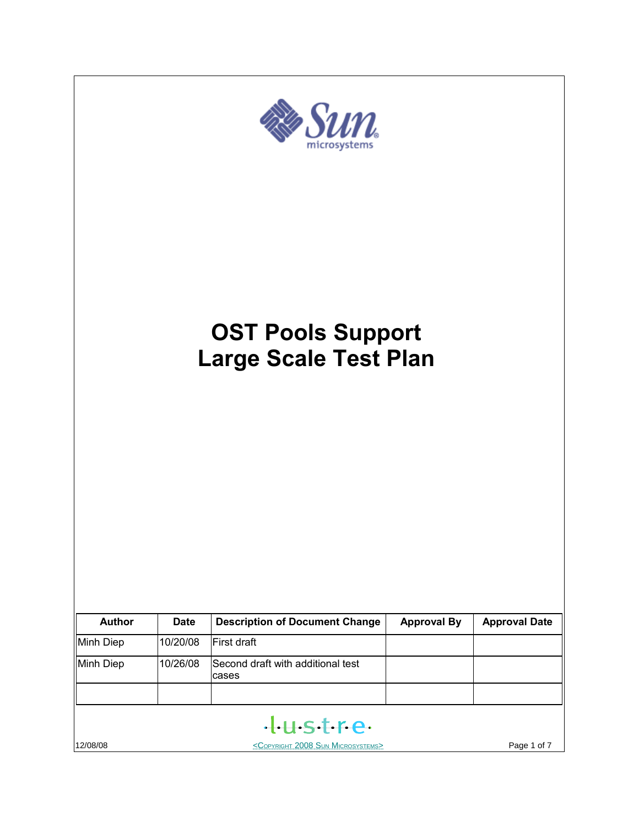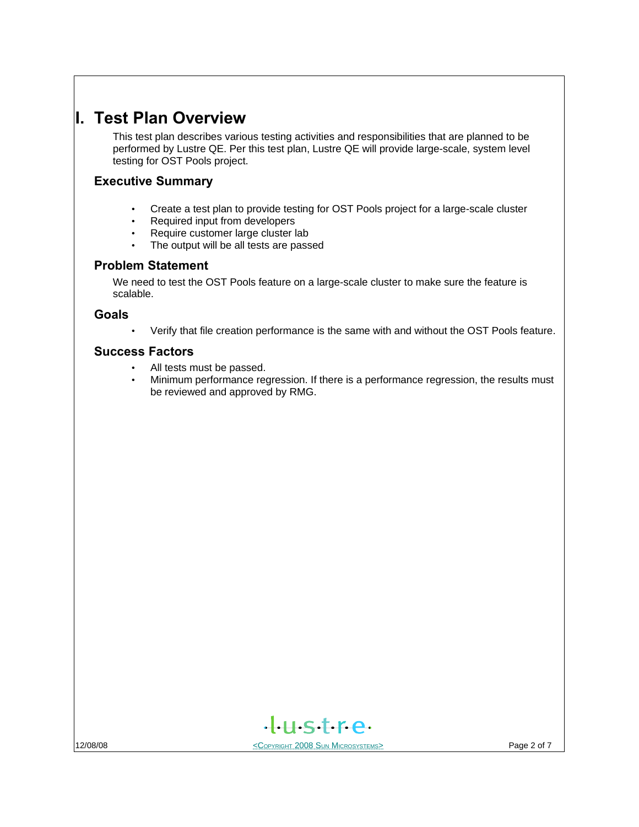# **I. Test Plan Overview**

This test plan describes various testing activities and responsibilities that are planned to be performed by Lustre QE. Per this test plan, Lustre QE will provide large-scale, system level testing for OST Pools project.

## **Executive Summary**

- Create a test plan to provide testing for OST Pools project for a large-scale cluster
- Required input from developers
- Require customer large cluster lab
- The output will be all tests are passed

### **Problem Statement**

We need to test the OST Pools feature on a large-scale cluster to make sure the feature is scalable.

#### **Goals**

• Verify that file creation performance is the same with and without the OST Pools feature.

### **Success Factors**

- All tests must be passed.
- Minimum performance regression. If there is a performance regression, the results must be reviewed and approved by RMG.

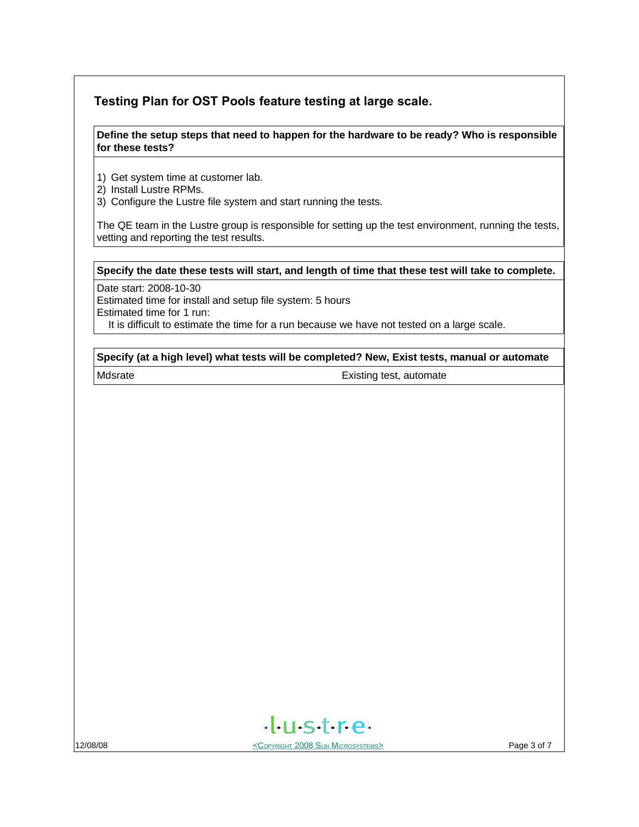## **Testing Plan for OST Pools feature testing at large scale.**

#### **Define the setup steps that need to happen for the hardware to be ready? Who is responsible for these tests?**

1) Get system time at customer lab.

- 2) Install Lustre RPMs.
- 3) Configure the Lustre file system and start running the tests.

The QE team in the Lustre group is responsible for setting up the test environment, running the tests, vetting and reporting the test results.

#### **Specify the date these tests will start, and length of time that these test will take to complete.**

Date start: 2008-10-30

Estimated time for install and setup file system: 5 hours Estimated time for 1 run:

It is difficult to estimate the time for a run because we have not tested on a large scale.

#### **Specify (at a high level) what tests will be completed? New, Exist tests, manual or automate**

Mdsrate **Existing test, automate** 



12/08/08 <COPYRIGHT 2008 SUN MICROSYSTEMS> Page 3 of 7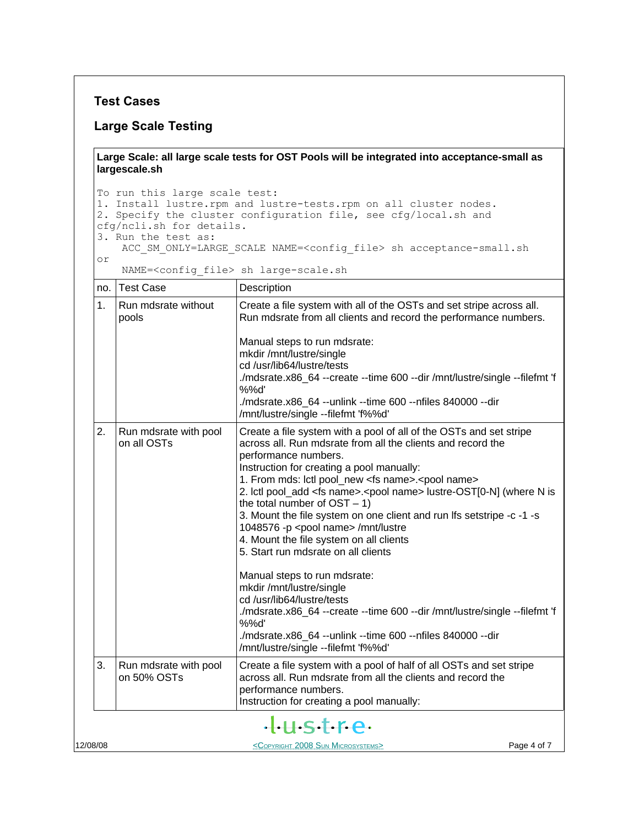### **Test Cases**

#### **Large Scale Testing**

**Large Scale: all large scale tests for OST Pools will be integrated into acceptance-small as largescale.sh**

To run this large scale test: 1. Install lustre.rpm and lustre-tests.rpm on all cluster nodes. 2. Specify the cluster configuration file, see cfg/local.sh and cfg/ncli.sh for details. 3. Run the test as: ACC\_SM\_ONLY=LARGE\_SCALE NAME=<config\_file> sh acceptance-small.sh or

NAME=<config\_file> sh large-scale.sh

| no.           | <b>Test Case</b>                     | Description                                                                                                                                                                                                                                                                                                                                                                                                                                                                                                                                                                                                                                                                                                                                                                                                                                                                                                                    |  |
|---------------|--------------------------------------|--------------------------------------------------------------------------------------------------------------------------------------------------------------------------------------------------------------------------------------------------------------------------------------------------------------------------------------------------------------------------------------------------------------------------------------------------------------------------------------------------------------------------------------------------------------------------------------------------------------------------------------------------------------------------------------------------------------------------------------------------------------------------------------------------------------------------------------------------------------------------------------------------------------------------------|--|
| $\mathbf 1$ . | Run mdsrate without<br>pools         | Create a file system with all of the OSTs and set stripe across all.<br>Run mdsrate from all clients and record the performance numbers.<br>Manual steps to run mdsrate:<br>mkdir /mnt/lustre/single<br>cd /usr/lib64/lustre/tests<br>./mdsrate.x86_64 --create --time 600 --dir /mnt/lustre/single --filefmt 'f<br>%%d'<br>./mdsrate.x86_64 --unlink --time 600 --nfiles 840000 --dir<br>/mnt/lustre/single --filefmt 'f%%d'                                                                                                                                                                                                                                                                                                                                                                                                                                                                                                  |  |
| 2.            | Run mdsrate with pool<br>on all OSTs | Create a file system with a pool of all of the OSTs and set stripe<br>across all. Run mdsrate from all the clients and record the<br>performance numbers.<br>Instruction for creating a pool manually:<br>1. From mds: lctl pool_new <fs name="">.<pool name=""><br/>2. Ictl pool_add <fs name="">.<pool name=""> lustre-OST[0-N] (where N is<br/>the total number of <math>OST - 1</math>)<br/>3. Mount the file system on one client and run Ifs setstripe -c -1 -s<br/>1048576 -p <pool name=""> /mnt/lustre<br/>4. Mount the file system on all clients<br/>5. Start run mdsrate on all clients<br/>Manual steps to run mdsrate:<br/>mkdir /mnt/lustre/single<br/>cd /usr/lib64/lustre/tests<br/>./mdsrate.x86_64 --create --time 600 --dir /mnt/lustre/single --filefmt 'f<br/>%%d'<br/>./mdsrate.x86_64 --unlink --time 600 --nfiles 840000 --dir<br/>/mnt/lustre/single --filefmt 'f%%d'</pool></pool></fs></pool></fs> |  |
| 3.            | Run mdsrate with pool<br>on 50% OSTs | Create a file system with a pool of half of all OSTs and set stripe<br>across all. Run mdsrate from all the clients and record the<br>performance numbers.<br>Instruction for creating a pool manually:                                                                                                                                                                                                                                                                                                                                                                                                                                                                                                                                                                                                                                                                                                                        |  |
|               |                                      | +H-S+Fe-                                                                                                                                                                                                                                                                                                                                                                                                                                                                                                                                                                                                                                                                                                                                                                                                                                                                                                                       |  |
| 12/08/08      |                                      | <copyright 2008="" microsystems="" sun=""><br/>Page 4 of 7</copyright>                                                                                                                                                                                                                                                                                                                                                                                                                                                                                                                                                                                                                                                                                                                                                                                                                                                         |  |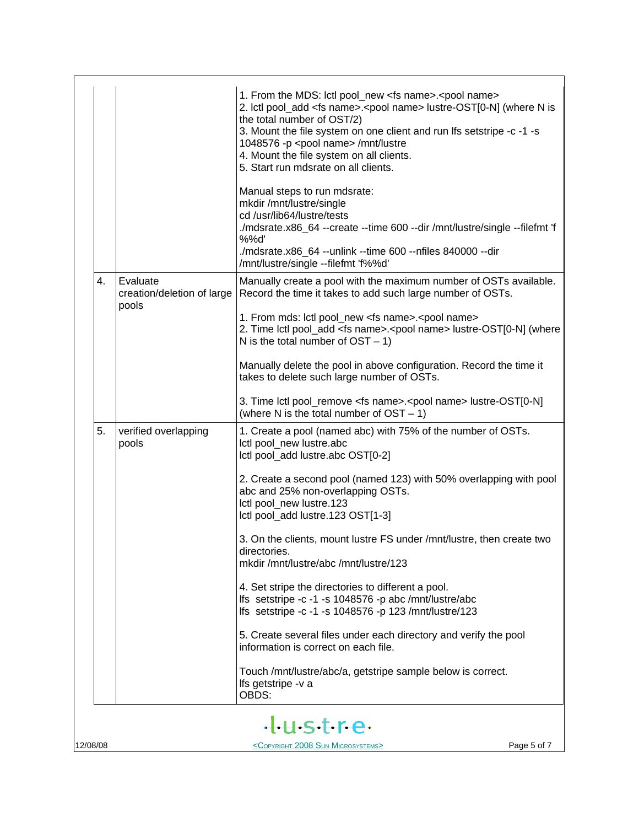|          |                                                                       |                                                 | 1. From the MDS: Ictl pool_new <fs name="">.<pool name=""><br/>2. Ictl pool_add <fs name="">.<pool name=""> lustre-OST[0-N] (where N is<br/>the total number of OST/2)<br/>3. Mount the file system on one client and run Ifs setstripe -c -1 -s<br/>1048576 -p <pool name=""> /mnt/lustre<br/>4. Mount the file system on all clients.<br/>5. Start run mdsrate on all clients.</pool></pool></fs></pool></fs> |  |  |  |  |
|----------|-----------------------------------------------------------------------|-------------------------------------------------|-----------------------------------------------------------------------------------------------------------------------------------------------------------------------------------------------------------------------------------------------------------------------------------------------------------------------------------------------------------------------------------------------------------------|--|--|--|--|
|          |                                                                       |                                                 | Manual steps to run mdsrate:<br>mkdir /mnt/lustre/single<br>cd /usr/lib64/lustre/tests<br>./mdsrate.x86_64 --create --time 600 --dir /mnt/lustre/single --filefmt 'f<br>%%d'<br>/mdsrate.x86_64 --unlink --time 600 --nfiles 840000 --dir<br>/mnt/lustre/single --filefmt 'f%%d'                                                                                                                                |  |  |  |  |
|          | 4.                                                                    | Evaluate<br>creation/deletion of large<br>pools | Manually create a pool with the maximum number of OSTs available.<br>Record the time it takes to add such large number of OSTs.                                                                                                                                                                                                                                                                                 |  |  |  |  |
|          |                                                                       |                                                 | 1. From mds: lctl pool_new <fs name="">.<pool name=""><br/>2. Time lctl pool_add <fs name="">.<pool name=""> lustre-OST[0-N] (where<br/>N is the total number of <math>OST - 1</math>)</pool></fs></pool></fs>                                                                                                                                                                                                  |  |  |  |  |
|          |                                                                       |                                                 | Manually delete the pool in above configuration. Record the time it<br>takes to delete such large number of OSTs.                                                                                                                                                                                                                                                                                               |  |  |  |  |
|          |                                                                       |                                                 | 3. Time lctl pool_remove <fs name="">.<pool name=""> lustre-OST[0-N]<br/>(where N is the total number of <math>OST - 1</math>)</pool></fs>                                                                                                                                                                                                                                                                      |  |  |  |  |
|          | 5.                                                                    | verified overlapping<br>pools                   | 1. Create a pool (named abc) with 75% of the number of OSTs.<br>Ictl pool_new lustre.abc<br>Ictl pool_add lustre.abc OST[0-2]                                                                                                                                                                                                                                                                                   |  |  |  |  |
|          |                                                                       |                                                 | 2. Create a second pool (named 123) with 50% overlapping with pool<br>abc and 25% non-overlapping OSTs.<br>Ictl pool_new lustre.123<br>Ictl pool_add lustre.123 OST[1-3]                                                                                                                                                                                                                                        |  |  |  |  |
|          |                                                                       |                                                 | 3. On the clients, mount lustre FS under /mnt/lustre, then create two<br>directories.<br>mkdir /mnt/lustre/abc /mnt/lustre/123                                                                                                                                                                                                                                                                                  |  |  |  |  |
|          |                                                                       |                                                 | 4. Set stripe the directories to different a pool.<br>lfs setstripe -c -1 -s 1048576 -p abc /mnt/lustre/abc<br>Ifs setstripe -c -1 -s 1048576 -p 123 /mnt/lustre/123                                                                                                                                                                                                                                            |  |  |  |  |
|          |                                                                       |                                                 | 5. Create several files under each directory and verify the pool<br>information is correct on each file.                                                                                                                                                                                                                                                                                                        |  |  |  |  |
|          |                                                                       |                                                 | Touch /mnt/lustre/abc/a, getstripe sample below is correct.<br>Ifs getstripe -v a<br>OBDS:                                                                                                                                                                                                                                                                                                                      |  |  |  |  |
|          | tustre                                                                |                                                 |                                                                                                                                                                                                                                                                                                                                                                                                                 |  |  |  |  |
| 12/08/08 | Page 5 of 7<br><copyright 2008="" microsystems="" sun=""></copyright> |                                                 |                                                                                                                                                                                                                                                                                                                                                                                                                 |  |  |  |  |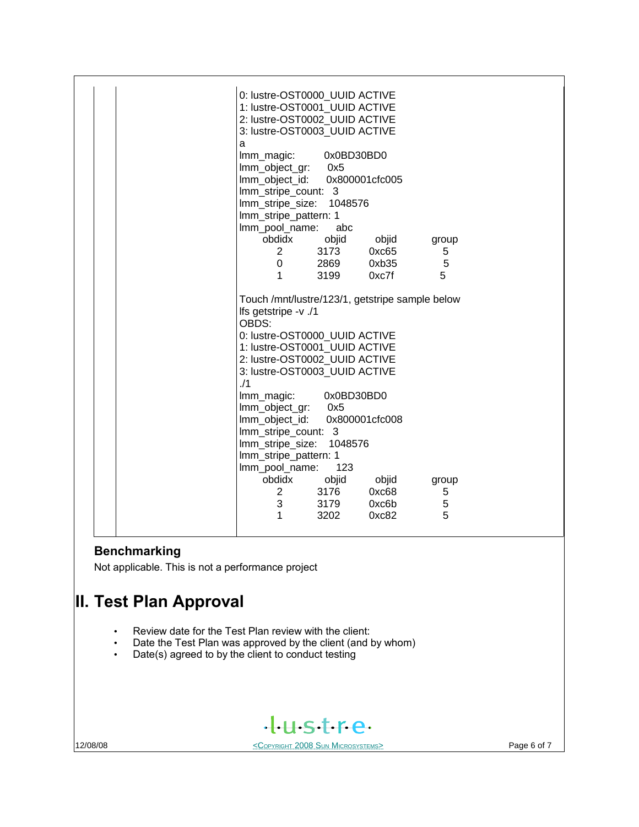| 0: lustre-OST0000_UUID ACTIVE                   |
|-------------------------------------------------|
| 1: lustre-OST0001_UUID ACTIVE                   |
| 2: lustre-OST0002 UUID ACTIVE                   |
| 3: lustre-OST0003 UUID ACTIVE                   |
| a                                               |
| Imm_magic:<br>0x0BD30BD0                        |
| Imm_object_gr: 0x5                              |
| Imm_object_id: 0x800001cfc005                   |
| Imm_stripe_count: 3                             |
| Imm_stripe_size: 1048576                        |
| Imm_stripe_pattern: 1                           |
| lmm_pool_name:<br>abc                           |
| obdidx<br>objid<br>objid<br>group               |
| $\overline{2}$<br>3173<br>0xc65<br>5            |
| 5<br>$\overline{0}$<br>2869<br>0xb35            |
| 5<br>$\mathbf{1}$<br>3199<br>0xc7f              |
|                                                 |
| Touch /mnt/lustre/123/1, getstripe sample below |
| lfs getstripe -v ./1                            |
| OBDS:                                           |
| 0: lustre-OST0000 UUID ACTIVE                   |
| 1: lustre-OST0001_UUID ACTIVE                   |
| 2: lustre-OST0002_UUID ACTIVE                   |
| 3: lustre-OST0003_UUID ACTIVE                   |
| 1/1                                             |
| 0x0BD30BD0<br>Imm_magic:                        |
| lmm_object_gr: 0x5                              |
| lmm_object_id:<br>0x800001cfc008                |
| Imm_stripe_count: 3                             |
| Imm_stripe_size: 1048576                        |
| Imm_stripe_pattern: 1                           |
| lmm_pool_name:<br>123                           |
| obdidx<br>objid<br>objid<br>group               |
| 3176<br>0xc68<br>$\overline{2}$<br>5            |
| 5<br>3<br>3179<br>0xc6b                         |
| 5<br>1<br>3202<br>0xc82                         |
|                                                 |
|                                                 |

# **Benchmarking**

Not applicable. This is not a performance project

# **II. Test Plan Approval**

- Review date for the Test Plan review with the client:<br>• Date the Test Plan was approved by the client (and I
- Date the Test Plan was approved by the client (and by whom)
- Date(s) agreed to by the client to conduct testing